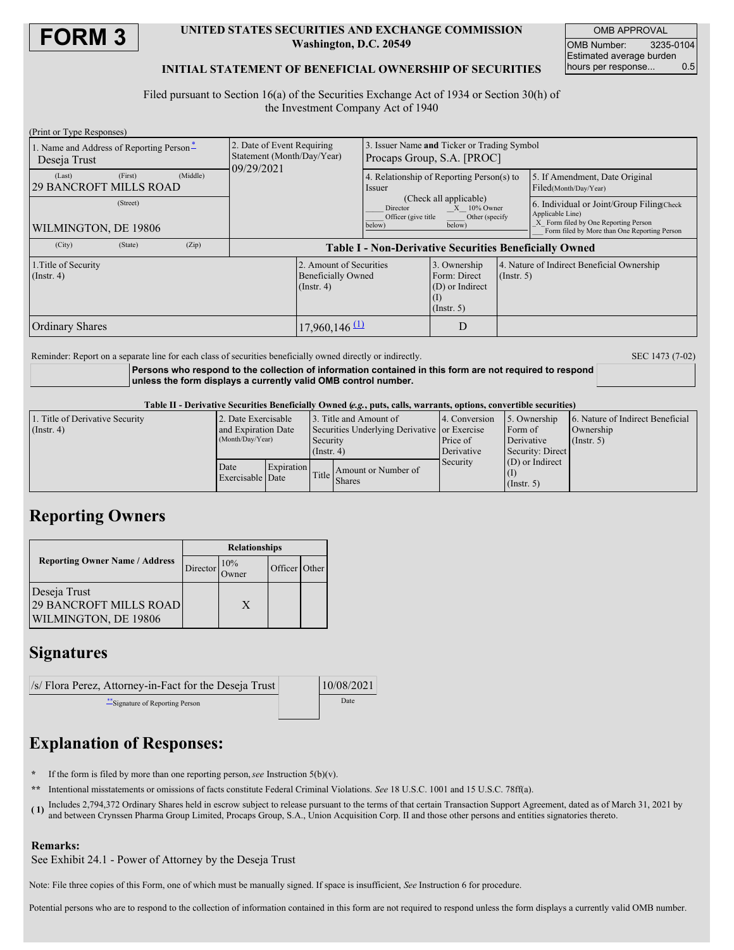

### **UNITED STATES SECURITIES AND EXCHANGE COMMISSION Washington, D.C. 20549**

OMB APPROVAL OMB Number: 3235-0104 Estimated average burden hours per response... 0.5

## **INITIAL STATEMENT OF BENEFICIAL OWNERSHIP OF SECURITIES**

Filed pursuant to Section 16(a) of the Securities Exchange Act of 1934 or Section 30(h) of the Investment Company Act of 1940

| (Print or Type Responses)                                |         |          |                                                                        |                                                                          |                                                                        |                                                                        |             |                                                                                                                                                       |  |
|----------------------------------------------------------|---------|----------|------------------------------------------------------------------------|--------------------------------------------------------------------------|------------------------------------------------------------------------|------------------------------------------------------------------------|-------------|-------------------------------------------------------------------------------------------------------------------------------------------------------|--|
| 1. Name and Address of Reporting Person-<br>Deseja Trust |         |          | 2. Date of Event Requiring<br>Statement (Month/Day/Year)<br>09/29/2021 |                                                                          | Issuer Name and Ticker or Trading Symbol<br>Procaps Group, S.A. [PROC] |                                                                        |             |                                                                                                                                                       |  |
| (Last)<br><b>29 BANCROFT MILLS ROAD</b>                  | (First) | (Middle) |                                                                        |                                                                          | <i>ssuer</i>                                                           | 4. Relationship of Reporting Person(s) to                              |             | 5. If Amendment, Date Original<br>Filed(Month/Day/Year)                                                                                               |  |
| (Street)<br>WILMINGTON, DE 19806                         |         |          |                                                                        |                                                                          | Director<br>Officer (give title)<br>below)                             | (Check all applicable)<br>$X = 10\%$ Owner<br>Other (specify<br>below) |             | 6. Individual or Joint/Group Filing Check<br>Applicable Line)<br>X Form filed by One Reporting Person<br>Form filed by More than One Reporting Person |  |
| (City)                                                   | (State) | (Zip)    | <b>Table I - Non-Derivative Securities Beneficially Owned</b>          |                                                                          |                                                                        |                                                                        |             |                                                                                                                                                       |  |
| 1. Title of Security<br>$($ Instr. 4 $)$                 |         |          |                                                                        | 2. Amount of Securities<br><b>Beneficially Owned</b><br>$($ Instr. 4 $)$ |                                                                        | 3. Ownership<br>Form: Direct<br>(D) or Indirect<br>(1)<br>(Insert. 5)  | (Insert, 5) | 4. Nature of Indirect Beneficial Ownership                                                                                                            |  |
| <b>Ordinary Shares</b>                                   |         |          |                                                                        | $17,960,146$ <sup>(1)</sup>                                              |                                                                        | D                                                                      |             |                                                                                                                                                       |  |

Reminder: Report on a separate line for each class of securities beneficially owned directly or indirectly. SEC 1473 (7-02)

**Persons who respond to the collection of information contained in this form are not required to respond unless the form displays a currently valid OMB control number.**

#### Table II - Derivative Securities Beneficially Owned (e.g., puts, calls, warrants, options, convertible securities)

| 1. Title of Derivative Security | 2. Date Exercisable<br>and Expiration Date<br>(Month/Day/Year) |            | 3. Title and Amount of<br>Securities Underlying Derivative or Exercise<br>Security |                                      | 4. Conversion | 5. Ownership                     | 6. Nature of Indirect Beneficial |  |  |
|---------------------------------|----------------------------------------------------------------|------------|------------------------------------------------------------------------------------|--------------------------------------|---------------|----------------------------------|----------------------------------|--|--|
| $($ Instr. 4)                   |                                                                |            |                                                                                    |                                      |               | Form of                          | Ownership<br>(Insert, 5)         |  |  |
|                                 |                                                                |            |                                                                                    |                                      | Price of      | Derivative                       |                                  |  |  |
|                                 |                                                                |            | $($ Instr. 4 $)$                                                                   |                                      | Derivative    | Security: Direct                 |                                  |  |  |
|                                 | Date<br>Exercisable Date                                       | Expiration | Title                                                                              | Amount or Number of<br><b>Shares</b> | Security      | $(D)$ or Indirect<br>(Insert, 5) |                                  |  |  |

# **Reporting Owners**

|                                                                       | <b>Relationships</b> |                      |               |  |  |
|-----------------------------------------------------------------------|----------------------|----------------------|---------------|--|--|
| <b>Reporting Owner Name / Address</b>                                 | Director             | 10%<br><b>J</b> wner | Officer Other |  |  |
| Deseja Trust<br><b>29 BANCROFT MILLS ROAD</b><br>WILMINGTON, DE 19806 |                      | X                    |               |  |  |

# **Signatures**

| $\sqrt{s}$ Flora Perez, Attorney-in-Fact for the Deseja Trust | 10/08/2021 |  |
|---------------------------------------------------------------|------------|--|
| Signature of Reporting Person                                 | Date       |  |

# **Explanation of Responses:**

- **\*** If the form is filed by more than one reporting person,*see* Instruction 5(b)(v).
- **\*\*** Intentional misstatements or omissions of facts constitute Federal Criminal Violations. *See* 18 U.S.C. 1001 and 15 U.S.C. 78ff(a).
- **( 1)** Includes 2,794,372 Ordinary Shares held in escrow subject to release pursuant to the terms of that certain Transaction Support Agreement, dated as of March 31, 2021 by and between Crynssen Pharma Group Limited, Procaps Group, S.A., Union Acquisition Corp. II and those other persons and entities signatories thereto.

## **Remarks:**

See Exhibit 24.1 - Power of Attorney by the Deseja Trust

Note: File three copies of this Form, one of which must be manually signed. If space is insufficient, *See* Instruction 6 for procedure.

Potential persons who are to respond to the collection of information contained in this form are not required to respond unless the form displays a currently valid OMB number.